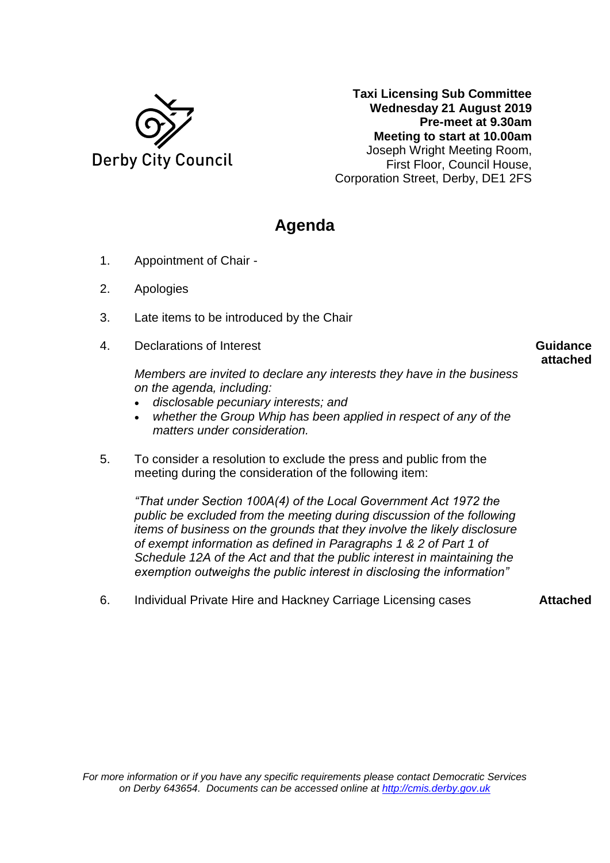

**Taxi Licensing Sub Committee Wednesday 21 August 2019 Pre-meet at 9.30am Meeting to start at 10.00am** Joseph Wright Meeting Room, First Floor, Council House, Corporation Street, Derby, DE1 2FS

## **Agenda**

- 1. Appointment of Chair -
- 2. Apologies
- 3. Late items to be introduced by the Chair
- 4. Declarations of Interest

## **Guidance attached**

*Members are invited to declare any interests they have in the business on the agenda, including:*

- *disclosable pecuniary interests; and*
- *whether the Group Whip has been applied in respect of any of the matters under consideration.*
- 5. To consider a resolution to exclude the press and public from the meeting during the consideration of the following item:

*"That under Section 100A(4) of the Local Government Act 1972 the public be excluded from the meeting during discussion of the following items of business on the grounds that they involve the likely disclosure of exempt information as defined in Paragraphs 1 & 2 of Part 1 of Schedule 12A of the Act and that the public interest in maintaining the exemption outweighs the public interest in disclosing the information"*

6. Individual Private Hire and Hackney Carriage Licensing cases **Attached**